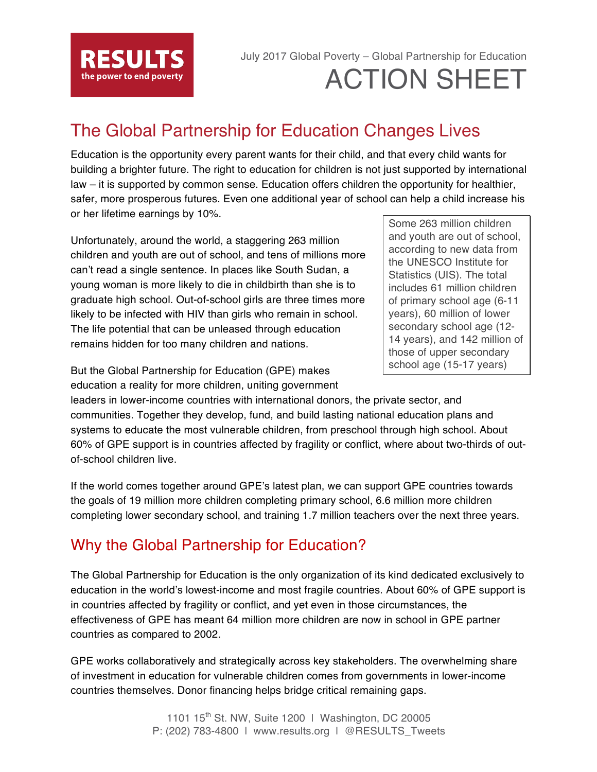

# July 2017 Global Poverty – Global Partnership for Education ACTION SHEET

# The Global Partnership for Education Changes Lives

Education is the opportunity every parent wants for their child, and that every child wants for building a brighter future. The right to education for children is not just supported by international law – it is supported by common sense. Education offers children the opportunity for healthier, safer, more prosperous futures. Even one additional year of school can help a child increase his or her lifetime earnings by 10%.

Unfortunately, around the world, a staggering 263 million children and youth are out of school, and tens of millions more can't read a single sentence. In places like South Sudan, a young woman is more likely to die in childbirth than she is to graduate high school. Out-of-school girls are three times more likely to be infected with HIV than girls who remain in school. The life potential that can be unleased through education remains hidden for too many children and nations.

Some 263 million children and youth are out of school, according to new data from the UNESCO Institute for Statistics (UIS). The total includes 61 million children of primary school age (6-11 years), 60 million of lower secondary school age (12- 14 years), and 142 million of those of upper secondary school age (15-17 years)

But the Global Partnership for Education (GPE) makes education a reality for more children, uniting government

leaders in lower-income countries with international donors, the private sector, and communities. Together they develop, fund, and build lasting national education plans and systems to educate the most vulnerable children, from preschool through high school. About 60% of GPE support is in countries affected by fragility or conflict, where about two-thirds of outof-school children live.

If the world comes together around GPE's latest plan, we can support GPE countries towards the goals of 19 million more children completing primary school, 6.6 million more children completing lower secondary school, and training 1.7 million teachers over the next three years.

### Why the Global Partnership for Education?

The Global Partnership for Education is the only organization of its kind dedicated exclusively to education in the world's lowest-income and most fragile countries. About 60% of GPE support is in countries affected by fragility or conflict, and yet even in those circumstances, the effectiveness of GPE has meant 64 million more children are now in school in GPE partner countries as compared to 2002.

GPE works collaboratively and strategically across key stakeholders. The overwhelming share of investment in education for vulnerable children comes from governments in lower-income countries themselves. Donor financing helps bridge critical remaining gaps.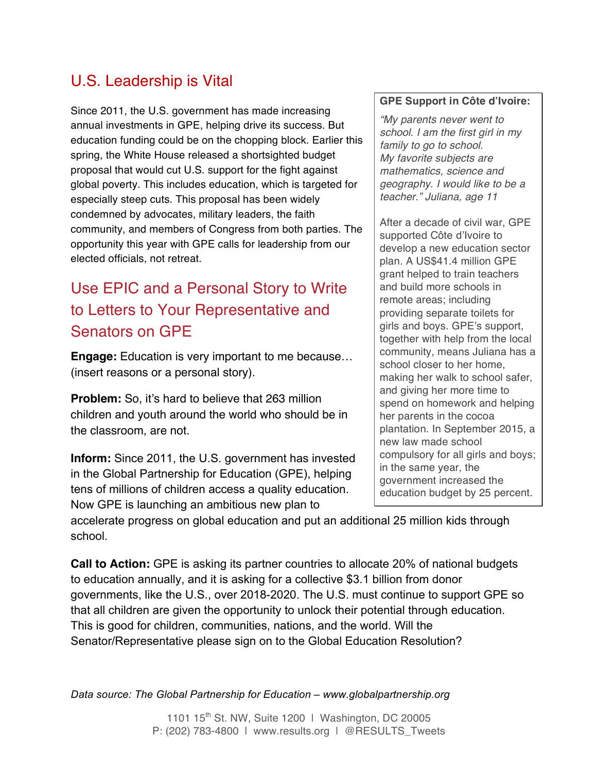## U.S. Leadership is Vital

Since 2011, the U.S. government has made increasing annual investments in GPE, helping drive its success. But education funding could be on the chopping block. Earlier this spring, the White House released a shortsighted budget proposal that would cut U.S. support for the fight against global poverty. This includes education, which is targeted for especially steep cuts. This proposal has been widely condemned by advocates, military leaders, the faith community, and members of Congress from both parties. The opportunity this year with GPE calls for leadership from our elected officials, not retreat.

## Use EPIC and a Personal Story to Write to Letters to Your Representative and Senators on GPE

**Engage:** Education is very important to me because… (insert reasons or a personal story).

**Problem:** So, it's hard to believe that 263 million children and youth around the world who should be in the classroom, are not.

**Inform:** Since 2011, the U.S. government has invested in the Global Partnership for Education (GPE), helping tens of millions of children access a quality education. Now GPE is launching an ambitious new plan to

#### **GPE Support in Côte d'Ivoire:**

*"My parents never went to school. I am the first girl in my family to go to school. My favorite subjects are mathematics, science and geography. I would like to be a teacher." Juliana, age 11*

After a decade of civil war, GPE supported Côte d'Ivoire to develop a new education sector plan. A US\$41.4 million GPE grant helped to train teachers and build more schools in remote areas; including providing separate toilets for girls and boys. GPE's support, together with help from the local community, means Juliana has a school closer to her home, making her walk to school safer, and giving her more time to spend on homework and helping her parents in the cocoa plantation. In September 2015, a new law made school compulsory for all girls and boys; in the same year, the government increased the education budget by 25 percent.

accelerate progress on global education and put an additional 25 million kids through school.

**Call to Action:** GPE is asking its partner countries to allocate 20% of national budgets to education annually, and it is asking for a collective \$3.1 billion from donor governments, like the U.S., over 2018-2020. The U.S. must continue to support GPE so that all children are given the opportunity to unlock their potential through education. This is good for children, communities, nations, and the world. Will the Senator/Representative please sign on to the Global Education Resolution?

*Data source: The Global Partnership for Education – www.globalpartnership.org*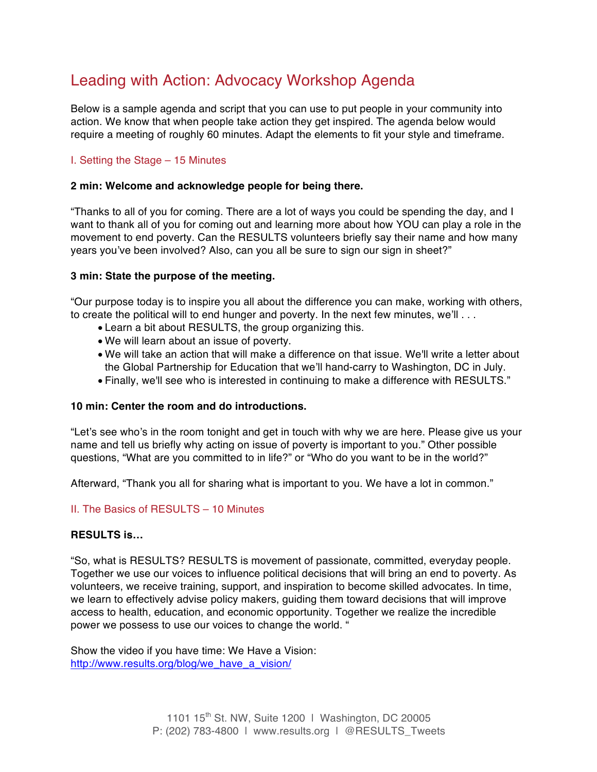### Leading with Action: Advocacy Workshop Agenda

Below is a sample agenda and script that you can use to put people in your community into action. We know that when people take action they get inspired. The agenda below would require a meeting of roughly 60 minutes. Adapt the elements to fit your style and timeframe.

#### I. Setting the Stage – 15 Minutes

#### **2 min: Welcome and acknowledge people for being there.**

"Thanks to all of you for coming. There are a lot of ways you could be spending the day, and I want to thank all of you for coming out and learning more about how YOU can play a role in the movement to end poverty. Can the RESULTS volunteers briefly say their name and how many years you've been involved? Also, can you all be sure to sign our sign in sheet?"

#### **3 min: State the purpose of the meeting.**

"Our purpose today is to inspire you all about the difference you can make, working with others, to create the political will to end hunger and poverty. In the next few minutes, we'll ...

- Learn a bit about RESULTS, the group organizing this.
- We will learn about an issue of poverty.
- We will take an action that will make a difference on that issue. We'll write a letter about the Global Partnership for Education that we'll hand-carry to Washington, DC in July.
- Finally, we'll see who is interested in continuing to make a difference with RESULTS."

#### **10 min: Center the room and do introductions.**

"Let's see who's in the room tonight and get in touch with why we are here. Please give us your name and tell us briefly why acting on issue of poverty is important to you." Other possible questions, "What are you committed to in life?" or "Who do you want to be in the world?"

Afterward, "Thank you all for sharing what is important to you. We have a lot in common."

#### II. The Basics of RESULTS – 10 Minutes

#### **RESULTS is…**

"So, what is RESULTS? RESULTS is movement of passionate, committed, everyday people. Together we use our voices to influence political decisions that will bring an end to poverty. As volunteers, we receive training, support, and inspiration to become skilled advocates. In time, we learn to effectively advise policy makers, guiding them toward decisions that will improve access to health, education, and economic opportunity. Together we realize the incredible power we possess to use our voices to change the world. "

Show the video if you have time: We Have a Vision: http://www.results.org/blog/we\_have\_a\_vision/